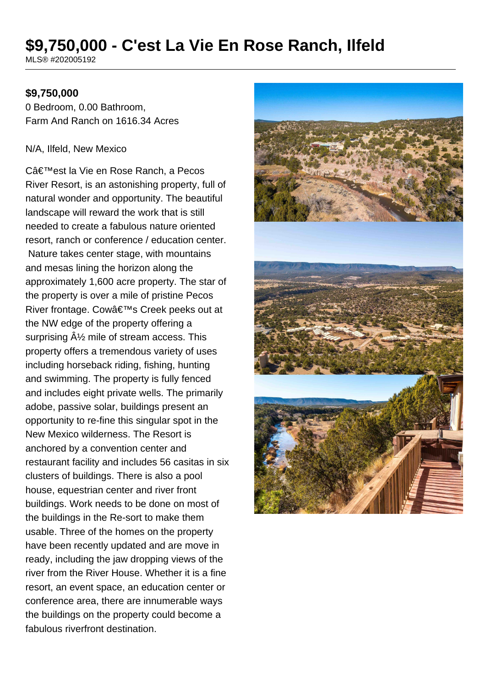# **\$9,750,000 - C'est La Vie En Rose Ranch, Ilfeld**

MLS® #202005192

## **\$9,750,000**

0 Bedroom, 0.00 Bathroom, Farm And Ranch on 1616.34 Acres

#### N/A, Ilfeld, New Mexico

C'est la Vie en Rose Ranch, a Pecos River Resort, is an astonishing property, full of natural wonder and opportunity. The beautiful landscape will reward the work that is still needed to create a fabulous nature oriented resort, ranch or conference / education center. Nature takes center stage, with mountains and mesas lining the horizon along the approximately 1,600 acre property. The star of the property is over a mile of pristine Pecos River frontage. Cow's Creek peeks out at the NW edge of the property offering a surprising  $\hat{A}\frac{1}{2}$  mile of stream access. This property offers a tremendous variety of uses including horseback riding, fishing, hunting and swimming. The property is fully fenced and includes eight private wells. The primarily adobe, passive solar, buildings present an opportunity to re-fine this singular spot in the New Mexico wilderness. The Resort is anchored by a convention center and restaurant facility and includes 56 casitas in six clusters of buildings. There is also a pool house, equestrian center and river front buildings. Work needs to be done on most of the buildings in the Re-sort to make them usable. Three of the homes on the property have been recently updated and are move in ready, including the jaw dropping views of the river from the River House. Whether it is a fine resort, an event space, an education center or conference area, there are innumerable ways the buildings on the property could become a fabulous riverfront destination.

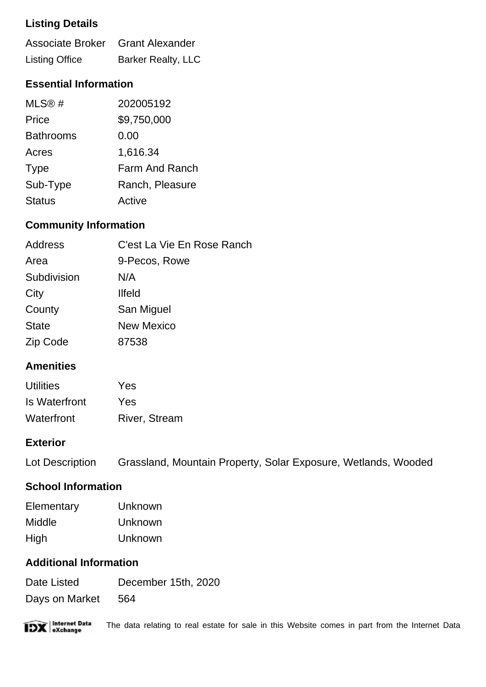## **Listing Details**

| Associate Broker Grant Alexander |                           |
|----------------------------------|---------------------------|
| <b>Listing Office</b>            | <b>Barker Realty, LLC</b> |

## **Essential Information**

| MLS@#            | 202005192       |
|------------------|-----------------|
| Price            | \$9,750,000     |
| <b>Bathrooms</b> | 0.00            |
| Acres            | 1,616.34        |
| <b>Type</b>      | Farm And Ranch  |
| Sub-Type         | Ranch, Pleasure |
| <b>Status</b>    | Active          |

## **Community Information**

| Address      | C'est La Vie En Rose Ranch |
|--------------|----------------------------|
| Area         | 9-Pecos, Rowe              |
| Subdivision  | N/A                        |
| City         | <b>Ilfeld</b>              |
| County       | San Miguel                 |
| <b>State</b> | <b>New Mexico</b>          |
| Zip Code     | 87538                      |

## **Amenities**

| <b>Utilities</b> | Yes                  |
|------------------|----------------------|
| Is Waterfront    | Yes                  |
| Waterfront       | <b>River, Stream</b> |

#### **Exterior**

| Lot Description | Grassland, Mountain Property, Solar Exposure, Wetlands, Wooded |  |  |
|-----------------|----------------------------------------------------------------|--|--|
|                 |                                                                |  |  |

## **School Information**

| Elementary | Unknown |
|------------|---------|
| Middle     | Unknown |
| High       | Unknown |

## **Additional Information**

Date Listed December 15th, 2020 Days on Market 564



The data relating to real estate for sale in this Website comes in part from the Internet Data